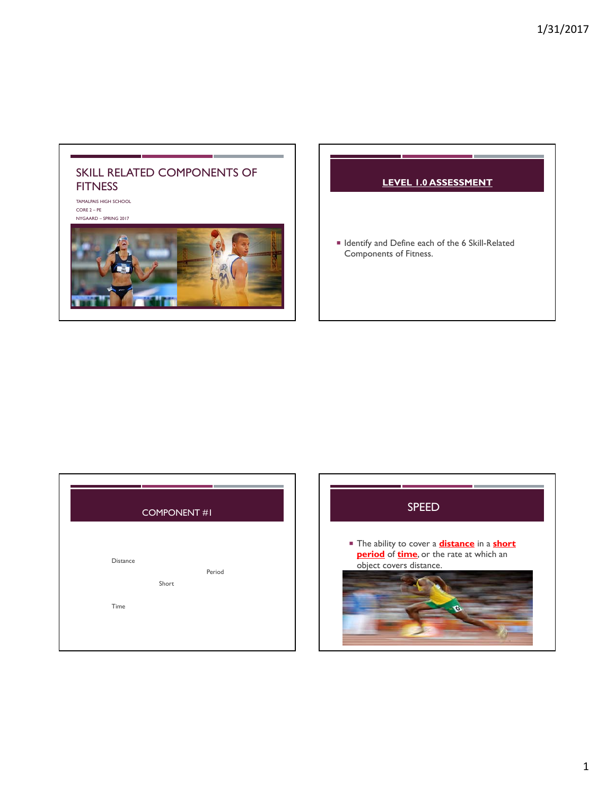## SKILL RELATED COMPONENTS OF **FITNESS**

TAMALPAIS HIGH SCHOOL CORE 2 – PE NYGAARD – SPRING 2017



## **LEVEL 1.0 ASSESSMENT**

■ Identify and Define each of the 6 Skill-Related Components of Fitness.

| <b>COMPONENT #1</b> |                 |  |  |
|---------------------|-----------------|--|--|
| Distance<br>Time    | Period<br>Short |  |  |

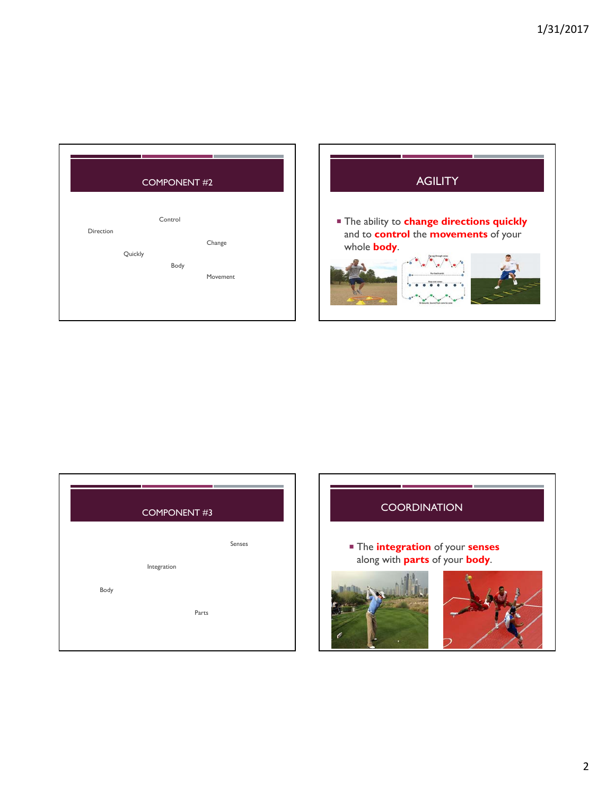| Control           |
|-------------------|
|                   |
|                   |
| Direction         |
| Change<br>Quickly |
| Body              |
| Movement          |
|                   |
|                   |



| <b>COMPONENT #3</b> |             |        |  |  |
|---------------------|-------------|--------|--|--|
|                     |             | Senses |  |  |
|                     | Integration |        |  |  |
| Body                |             |        |  |  |
|                     | Parts       |        |  |  |
|                     |             |        |  |  |
|                     |             |        |  |  |

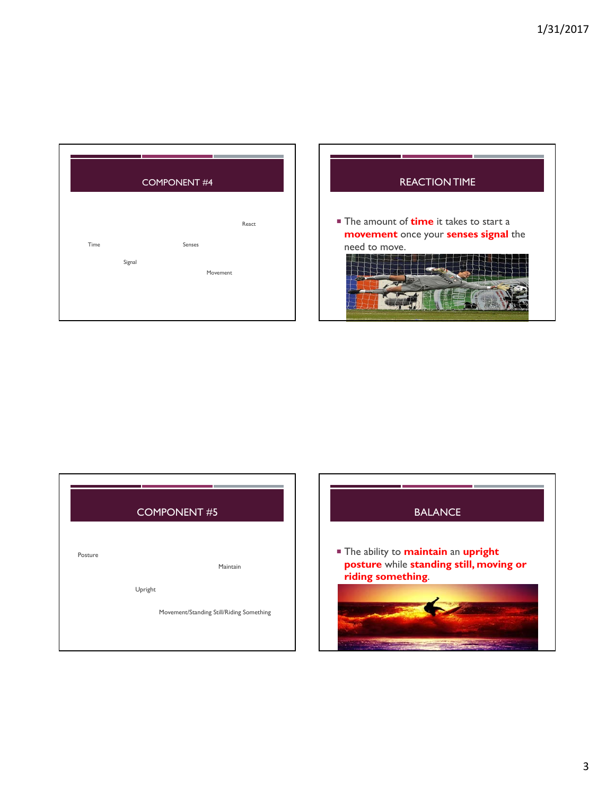|      |        | <b>COMPONENT #4</b> |  |
|------|--------|---------------------|--|
|      |        | React               |  |
| Time | Signal | Senses<br>Movement  |  |
|      |        |                     |  |

| <b>REACTION TIME</b>                                                                                   |
|--------------------------------------------------------------------------------------------------------|
| The amount of <b>time</b> it takes to start a<br>movement once your senses signal the<br>need to move. |

|         | <b>COMPONENT #5</b>                                 |
|---------|-----------------------------------------------------|
| Posture | Maintain                                            |
|         | Upright<br>Movement/Standing Still/Riding Something |
|         |                                                     |